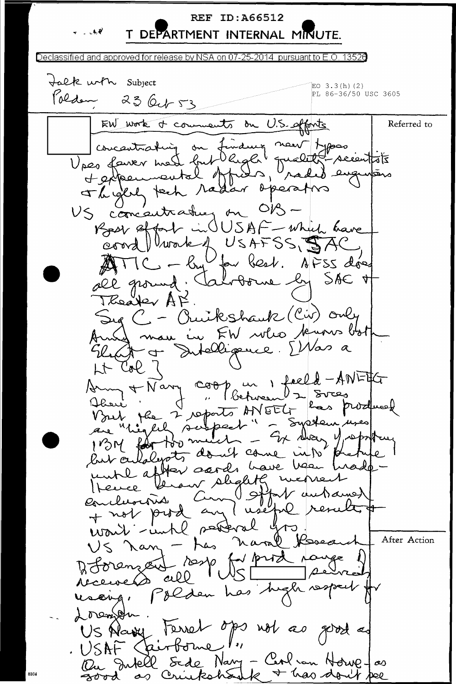**REF ID: A66512** T DEPARTMENT INTERNAL MINUTE.

Declassified and approved for release by NSA on 07-25-2014 pursuant to E.O. 13526 talk with Subject EO  $3.3(h)$  (2) PL 86-36/50 USC 3605 Polden 23 Oct 53 EW work of comments on U.S. offonts Referred to Concentrating on finance nous Appers<br>Upes fairer mest but light guality secentaire Theytel tech radar opération US concentrating on OB-Roar strat in USAF - which have coord Ulwark & USAFSS, SAC Uper best. AFSS déce  $=$   $\ell_{\rm H}$ ANI IC all ground; Valorome ly SAC + Theaster AF. Sug C - Quikshauk (Cir) only Anned man in FW who busis both Ruit et Intelligence. [Mas a  $H$  Col  $7$ Deu + Nary coop un 1 feeld-ANETG Vout the 2 reports ANEEL has produced Dave ' are "highly subpect" - System uses 1BM for the metal - Ex dear Mapoth last carlolerates don't come into untl affroi sords have been heade-Yerow slightly merre Hever Ostpt autrainer Conclusions am + not pood an would betteral go US Nang - has naral Research After Action Differenced resp for prod nange  $\rho$ el  $IUSL$ received all resoing, Polden has high respect Lorenbur US Alany Ferret ops not as good as USAF Cairborne Ou Intell Sede Nary - Cent un Horve Jas as Cruikshoute + has don't bee zood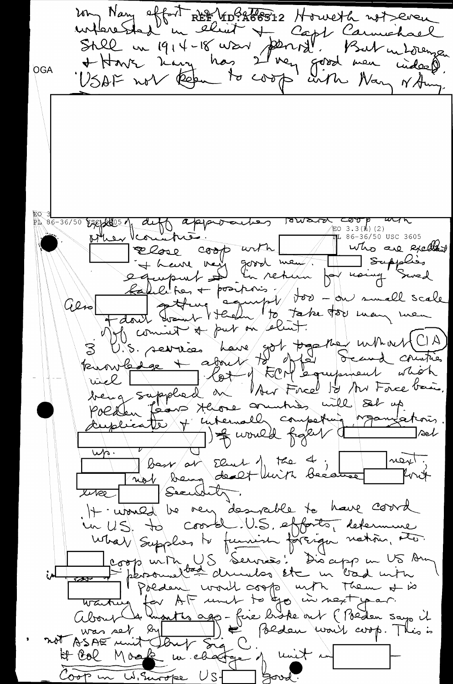202 Nay offort REE 4092788312 Howell not even where shed in the way per capt Carmichael<br>Still in 1914-18 was per la Carmichael<br>+ Have have has 2 very good men widerformer OGA 10 3.3 (https://approacher 18 ward cool  $\text{F0 } 3.3(\text{h}) (2)$ other countries. les interested  $16 - 36/50$  USC 3605 who are excellent Rabel ton + positions. Jos - ou small scale also John comment a par en éleur. S'UN commerce have got pas me untrastic de la compte being supplied theore original set up Politen Taxon Hione composition requirement Burned francs  $\Box$ Ael un bour au Elise de ch ; mont ;<br>une mot souge doubt luirs because font  $\frac{1}{2}$ H. Would be very desirable to have courd un US, to coorde, US, efforts, determine What Supplies to function foreign nation, the coop with US Services! Disappe un US Am in the personnel de de compte un bad min<br>tout de la AF unet to top unt them at is<br>about de la AF unet to top un next par.<br>About de la Compte de la Bedeu work coop. This is<br>not psace unit dont sig C; unit und avop. This is<br>  $\frac{1}{\sqrt{1-\frac{1}{2}}\cdot\frac{1}{2}}$ بــــلمن H Col Moak m'eagrege y mit me Bood Coop in W. Surveye UST